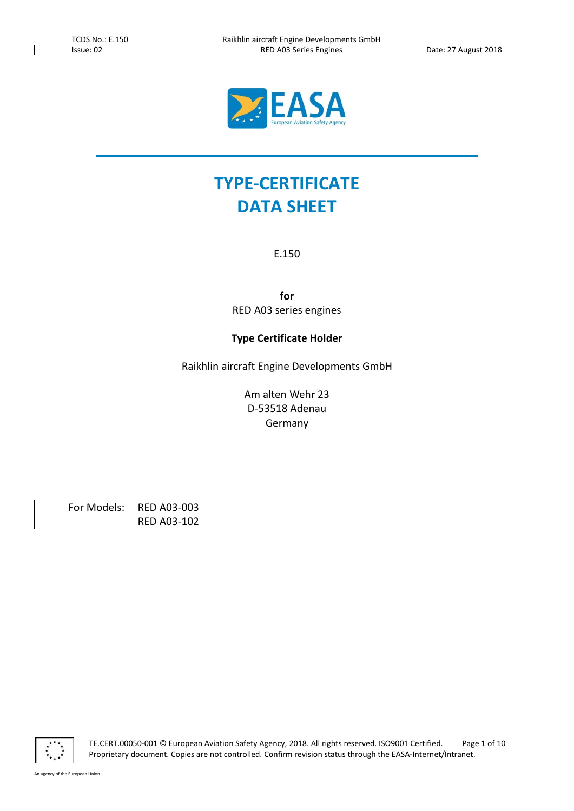

# **TYPE-CERTIFICATE DATA SHEET**

E.150

**for** RED A03 series engines

# **Type Certificate Holder**

Raikhlin aircraft Engine Developments GmbH

Am alten Wehr 23 D-53518 Adenau Germany

For Models: RED A03-003 RED A03-102



TE.CERT.00050-001 © European Aviation Safety Agency, 2018. All rights reserved. ISO9001 Certified. Page 1 of 10 Proprietary document. Copies are not controlled. Confirm revision status through the EASA-Internet/Intranet.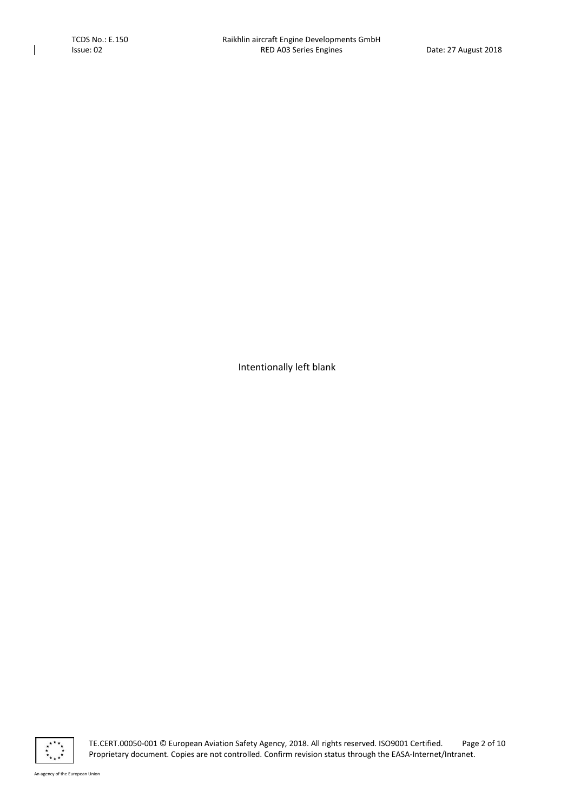Intentionally left blank



TE.CERT.00050-001 © European Aviation Safety Agency, 2018. All rights reserved. ISO9001 Certified. Page 2 of 10 Proprietary document. Copies are not controlled. Confirm revision status through the EASA-Internet/Intranet.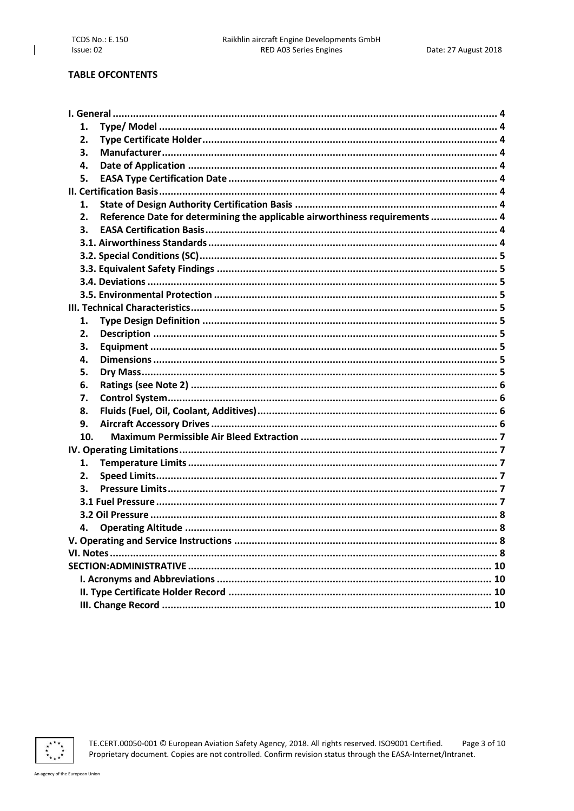## **TABLE OFCONTENTS**

| 1.                                                                                |  |
|-----------------------------------------------------------------------------------|--|
| 2.                                                                                |  |
| 3.                                                                                |  |
| 4.                                                                                |  |
| 5.                                                                                |  |
|                                                                                   |  |
| 1.                                                                                |  |
| Reference Date for determining the applicable airworthiness requirements  4<br>2. |  |
| 3.                                                                                |  |
|                                                                                   |  |
|                                                                                   |  |
|                                                                                   |  |
|                                                                                   |  |
|                                                                                   |  |
|                                                                                   |  |
| 1.                                                                                |  |
| 2.                                                                                |  |
| 3.                                                                                |  |
| 4.                                                                                |  |
| 5.                                                                                |  |
| 6.                                                                                |  |
| 7.                                                                                |  |
| 8.                                                                                |  |
| 9.                                                                                |  |
| 10.                                                                               |  |
|                                                                                   |  |
| 1.                                                                                |  |
| 2.                                                                                |  |
| З.                                                                                |  |
|                                                                                   |  |
|                                                                                   |  |
| 4.                                                                                |  |
|                                                                                   |  |
|                                                                                   |  |
|                                                                                   |  |
|                                                                                   |  |
|                                                                                   |  |
|                                                                                   |  |
|                                                                                   |  |

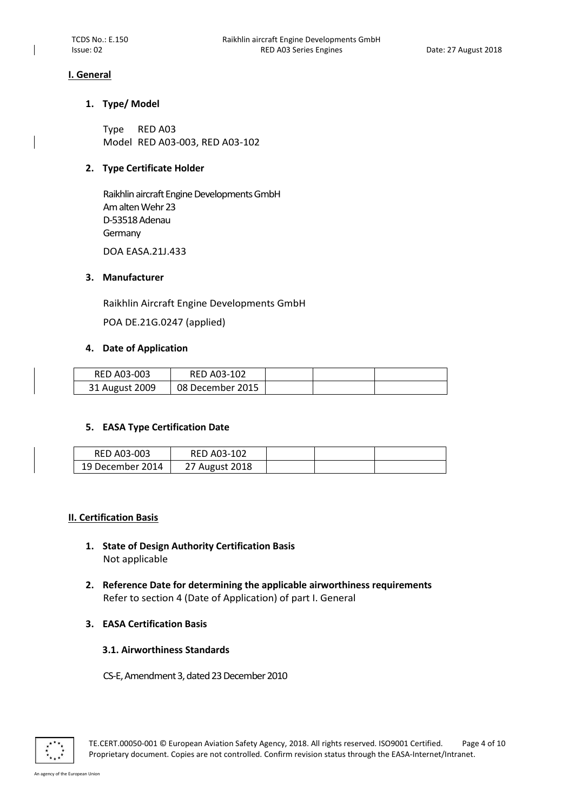#### <span id="page-3-0"></span>**I. General**

#### <span id="page-3-1"></span>**1. Type/ Model**

Type RED A03 Model RED A03-003, RED A03-102

#### <span id="page-3-2"></span>**2. Type Certificate Holder**

Raikhlin aircraft Engine DevelopmentsGmbH AmaltenWehr 23 D-53518 Adenau Germany DOA EASA.21J.433

#### <span id="page-3-3"></span>**3. Manufacturer**

Raikhlin Aircraft Engine Developments GmbH

POA DE.21G.0247 (applied)

#### <span id="page-3-4"></span>**4. Date of Application**

| RED A03-003    | <b>RED A03-102</b> |  |  |
|----------------|--------------------|--|--|
| 31 August 2009 | 08 December 2015   |  |  |

#### <span id="page-3-5"></span>**5. EASA Type Certification Date**

| RED A03-003      | <b>RED A03-102</b> |  |  |
|------------------|--------------------|--|--|
| 19 December 2014 | 27 August 2018     |  |  |

#### <span id="page-3-6"></span>**II. Certification Basis**

- <span id="page-3-7"></span>**1. State of Design Authority Certification Basis** Not applicable
- <span id="page-3-8"></span>**2. Reference Date for determining the applicable airworthiness requirements** Refer to section 4 (Date of Application) of part I. General
- <span id="page-3-10"></span><span id="page-3-9"></span>**3. EASA Certification Basis**

#### **3.1. Airworthiness Standards**

CS-E, Amendment 3, dated 23 December 2010



TE.CERT.00050-001 © European Aviation Safety Agency, 2018. All rights reserved. ISO9001 Certified. Page 4 of 10 Proprietary document. Copies are not controlled. Confirm revision status through the EASA-Internet/Intranet.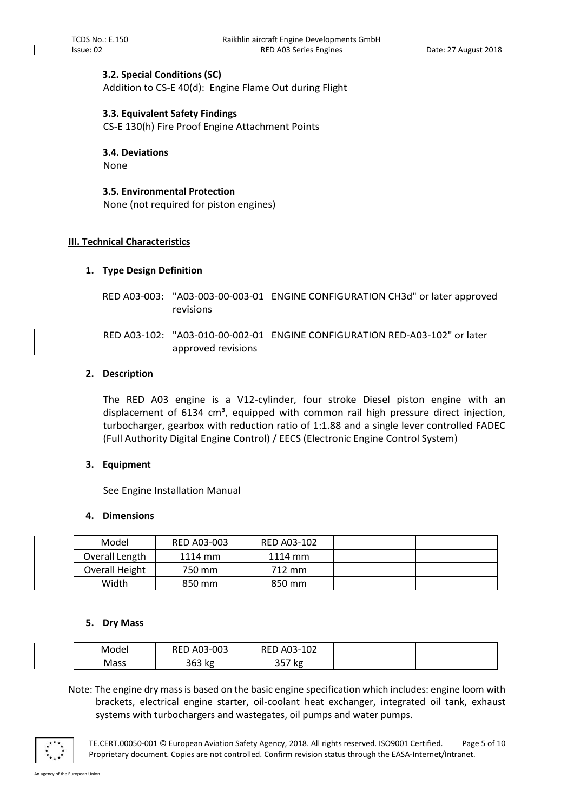#### <span id="page-4-0"></span>**3.2. Special Conditions (SC)**

Addition to CS-E 40(d): Engine Flame Out during Flight

<span id="page-4-1"></span>**3.3. Equivalent Safety Findings** CS-E 130(h) Fire Proof Engine Attachment Points

<span id="page-4-2"></span>**3.4. Deviations** None

<span id="page-4-3"></span>**3.5. Environmental Protection** None (not required for piston engines)

#### <span id="page-4-4"></span>**III. Technical Characteristics**

#### <span id="page-4-5"></span>**1. Type Design Definition**

- RED A03-003: "A03-003-00-003-01 ENGINE CONFIGURATION CH3d" or later approved revisions
- RED A03-102: "A03-010-00-002-01 ENGINE CONFIGURATION RED-A03-102" or later approved revisions

#### <span id="page-4-6"></span>**2. Description**

The RED A03 engine is a V12-cylinder, four stroke Diesel piston engine with an displacement of  $6134 \text{ cm}^3$ , equipped with common rail high pressure direct injection, turbocharger, gearbox with reduction ratio of 1:1.88 and a single lever controlled FADEC (Full Authority Digital Engine Control) / EECS (Electronic Engine Control System)

#### <span id="page-4-7"></span>**3. Equipment**

See Engine Installation Manual

#### <span id="page-4-8"></span>**4. Dimensions**

| Model          | RED A03-003 | RED A03-102 |  |
|----------------|-------------|-------------|--|
| Overall Length | 1114 mm     | 1114 mm     |  |
| Overall Height | 750 mm      | 712 mm      |  |
| Width          | 850 mm      | 850 mm      |  |

#### <span id="page-4-9"></span>**5. Dry Mass**

| Model | RED A03-003 | <b>RED A03-102</b> |  |
|-------|-------------|--------------------|--|
| Mass  | 363 kg      | 357 kg<br>، د د    |  |

Note: The engine dry mass is based on the basic engine specification which includes: engine loom with brackets, electrical engine starter, oil-coolant heat exchanger, integrated oil tank, exhaust systems with turbochargers and wastegates, oil pumps and water pumps.

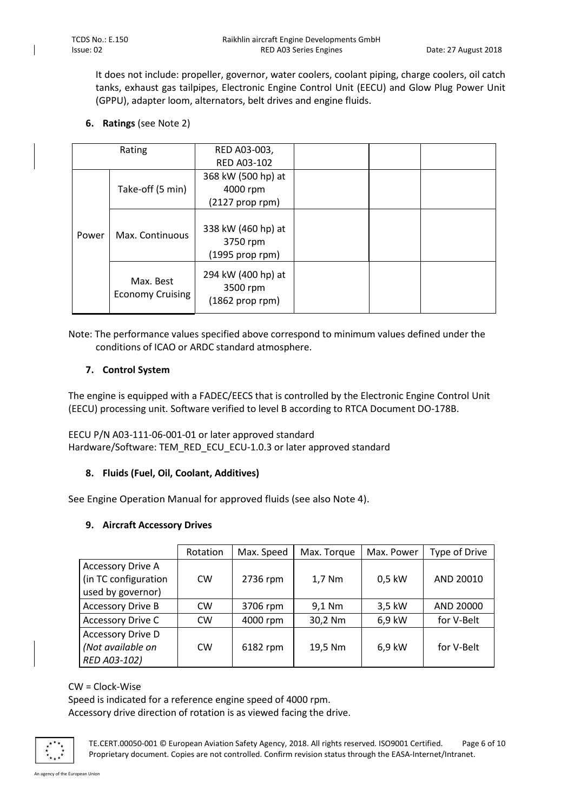It does not include: propeller, governor, water coolers, coolant piping, charge coolers, oil catch tanks, exhaust gas tailpipes, Electronic Engine Control Unit (EECU) and Glow Plug Power Unit (GPPU), adapter loom, alternators, belt drives and engine fluids.

## <span id="page-5-0"></span>**6. Ratings** (see Note 2)

|       | Rating                               | RED A03-003,                                        |  |  |
|-------|--------------------------------------|-----------------------------------------------------|--|--|
|       |                                      | <b>RED A03-102</b>                                  |  |  |
|       |                                      | 368 kW (500 hp) at                                  |  |  |
|       | Take-off (5 min)                     | 4000 rpm                                            |  |  |
|       |                                      | $(2127$ prop rpm)                                   |  |  |
| Power | Max. Continuous                      | 338 kW (460 hp) at<br>3750 rpm<br>$(1995$ prop rpm) |  |  |
|       | Max. Best<br><b>Economy Cruising</b> | 294 kW (400 hp) at<br>3500 rpm<br>$(1862$ prop rpm) |  |  |

Note: The performance values specified above correspond to minimum values defined under the conditions of ICAO or ARDC standard atmosphere.

## <span id="page-5-1"></span>**7. Control System**

The engine is equipped with a FADEC/EECS that is controlled by the Electronic Engine Control Unit (EECU) processing unit. Software verified to level B according to RTCA Document DO-178B.

EECU P/N A03-111-06-001-01 or later approved standard Hardware/Software: TEM\_RED\_ECU\_ECU-1.0.3 or later approved standard

#### <span id="page-5-2"></span>**8. Fluids (Fuel, Oil, Coolant, Additives)**

See Engine Operation Manual for approved fluids (see also Note 4).

#### <span id="page-5-3"></span>**9. Aircraft Accessory Drives**

|                          | Rotation  | Max. Speed | Max. Torque | Max. Power | Type of Drive |
|--------------------------|-----------|------------|-------------|------------|---------------|
| <b>Accessory Drive A</b> |           |            |             |            |               |
| (in TC configuration     | <b>CW</b> | 2736 rpm   | 1,7 Nm      | 0,5 kW     | AND 20010     |
| used by governor)        |           |            |             |            |               |
| <b>Accessory Drive B</b> | <b>CW</b> | 3706 rpm   | 9,1 Nm      | 3,5 kW     | AND 20000     |
| <b>Accessory Drive C</b> | <b>CW</b> | 4000 rpm   | 30,2 Nm     | 6,9 kW     | for V-Belt    |
| <b>Accessory Drive D</b> |           |            |             |            |               |
| (Not available on        | <b>CW</b> | 6182 rpm   | 19,5 Nm     | 6,9 kW     | for V-Belt    |
| RED A03-102)             |           |            |             |            |               |

#### CW = Clock-Wise

Speed is indicated for a reference engine speed of 4000 rpm.

Accessory drive direction of rotation is as viewed facing the drive.



TE.CERT.00050-001 © European Aviation Safety Agency, 2018. All rights reserved. ISO9001 Certified. Page 6 of 10 Proprietary document. Copies are not controlled. Confirm revision status through the EASA-Internet/Intranet.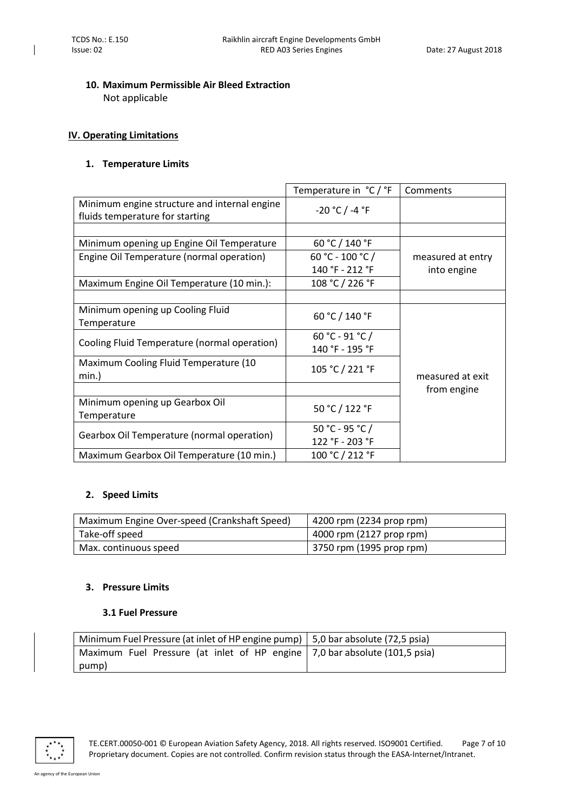## <span id="page-6-0"></span>**10. Maximum Permissible Air Bleed Extraction** Not applicable

## <span id="page-6-1"></span>**IV. Operating Limitations**

#### <span id="page-6-2"></span>**1. Temperature Limits**

|                                                                                 | Temperature in $°C$ / $°F$ | Comments          |
|---------------------------------------------------------------------------------|----------------------------|-------------------|
| Minimum engine structure and internal engine<br>fluids temperature for starting | $-20 °C / -4 °F$           |                   |
|                                                                                 |                            |                   |
| Minimum opening up Engine Oil Temperature                                       | 60 °C / 140 °F             |                   |
| Engine Oil Temperature (normal operation)                                       | 60 °C - 100 °C /           | measured at entry |
|                                                                                 | 140 °F - 212 °F            | into engine       |
| Maximum Engine Oil Temperature (10 min.):                                       | 108 °C / 226 °F            |                   |
|                                                                                 |                            |                   |
| Minimum opening up Cooling Fluid                                                | 60 °C / 140 °F             |                   |
| Temperature                                                                     |                            |                   |
| Cooling Fluid Temperature (normal operation)                                    | 60 °C - 91 °C /            |                   |
|                                                                                 | 140 °F - 195 °F            |                   |
| Maximum Cooling Fluid Temperature (10                                           | 105 °C / 221 °F            |                   |
| min.)                                                                           |                            | measured at exit  |
|                                                                                 |                            | from engine       |
| Minimum opening up Gearbox Oil                                                  | 50 °C / 122 °F             |                   |
| Temperature                                                                     |                            |                   |
| Gearbox Oil Temperature (normal operation)                                      | 50 °C - 95 °C /            |                   |
|                                                                                 | 122 °F - 203 °F            |                   |
| Maximum Gearbox Oil Temperature (10 min.)                                       | 100 °C / 212 °F            |                   |

#### <span id="page-6-3"></span>**2. Speed Limits**

| Maximum Engine Over-speed (Crankshaft Speed) | 4200 rpm (2234 prop rpm) |
|----------------------------------------------|--------------------------|
| Take-off speed                               | 4000 rpm (2127 prop rpm) |
| Max. continuous speed                        | 3750 rpm (1995 prop rpm) |

#### <span id="page-6-4"></span>**3. Pressure Limits**

#### **3.1 Fuel Pressure**

<span id="page-6-5"></span>

| Minimum Fuel Pressure (at inlet of HP engine pump)   5,0 bar absolute (72,5 psia) |  |
|-----------------------------------------------------------------------------------|--|
| Maximum Fuel Pressure (at inlet of HP engine   7,0 bar absolute (101,5 psia)      |  |
| pump)                                                                             |  |



TE.CERT.00050-001 © European Aviation Safety Agency, 2018. All rights reserved. ISO9001 Certified. Page 7 of 10 Proprietary document. Copies are not controlled. Confirm revision status through the EASA-Internet/Intranet.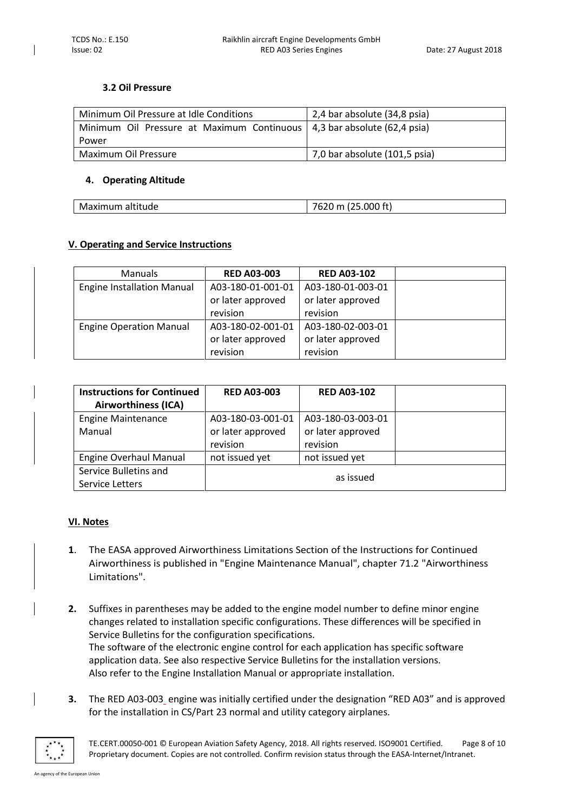#### **3.2 Oil Pressure**

<span id="page-7-0"></span>

| Minimum Oil Pressure at Idle Conditions                                   | 2,4 bar absolute (34,8 psia)  |
|---------------------------------------------------------------------------|-------------------------------|
| Minimum Oil Pressure at Maximum Continuous   4,3 bar absolute (62,4 psia) |                               |
| Power                                                                     |                               |
| Maximum Oil Pressure                                                      | 7,0 bar absolute (101,5 psia) |

## <span id="page-7-1"></span>**4. Operating Altitude**

| Maximum altitude | 7620 m (25.000 ft) |
|------------------|--------------------|

## <span id="page-7-2"></span>**V. Operating and Service Instructions**

| <b>Manuals</b>                    | <b>RED A03-003</b> | <b>RED A03-102</b> |  |
|-----------------------------------|--------------------|--------------------|--|
| <b>Engine Installation Manual</b> | A03-180-01-001-01  | A03-180-01-003-01  |  |
|                                   | or later approved  | or later approved  |  |
|                                   | revision           | revision           |  |
| <b>Engine Operation Manual</b>    | A03-180-02-001-01  | A03-180-02-003-01  |  |
|                                   | or later approved  | or later approved  |  |
|                                   | revision           | revision           |  |

| <b>Instructions for Continued</b><br><b>Airworthiness (ICA)</b> | <b>RED A03-003</b> | <b>RED A03-102</b> |  |
|-----------------------------------------------------------------|--------------------|--------------------|--|
| <b>Engine Maintenance</b>                                       | A03-180-03-001-01  | A03-180-03-003-01  |  |
| Manual                                                          | or later approved  | or later approved  |  |
|                                                                 | revision           | revision           |  |
| <b>Engine Overhaul Manual</b>                                   | not issued yet     | not issued yet     |  |
| Service Bulletins and                                           | as issued          |                    |  |
| Service Letters                                                 |                    |                    |  |

# <span id="page-7-3"></span>**VI. Notes**

- **1**. The EASA approved Airworthiness Limitations Section of the Instructions for Continued Airworthiness is published in "Engine Maintenance Manual", chapter 71.2 "Airworthiness Limitations".
- **2.** Suffixes in parentheses may be added to the engine model number to define minor engine changes related to installation specific configurations. These differences will be specified in Service Bulletins for the configuration specifications. The software of the electronic engine control for each application has specific software application data. See also respective Service Bulletins for the installation versions. Also refer to the Engine Installation Manual or appropriate installation.
- **3.** The RED A03-003 engine was initially certified under the designation "RED A03" and is approved for the installation in CS/Part 23 normal and utility category airplanes.



TE.CERT.00050-001 © European Aviation Safety Agency, 2018. All rights reserved. ISO9001 Certified. Page 8 of 10 Proprietary document. Copies are not controlled. Confirm revision status through the EASA-Internet/Intranet.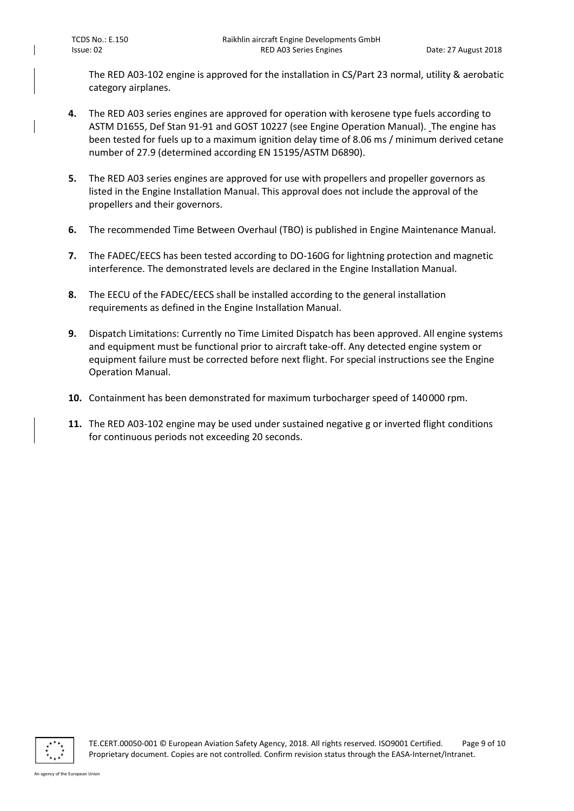The RED A03-102 engine is approved for the installation in CS/Part 23 normal, utility & aerobatic category airplanes.

- **4.** The RED A03 series engines are approved for operation with kerosene type fuels according to ASTM D1655, Def Stan 91-91 and GOST 10227 (see Engine Operation Manual). The engine has been tested for fuels up to a maximum ignition delay time of 8.06 ms / minimum derived cetane number of 27.9 (determined according EN 15195/ASTM D6890).
- **5.** The RED A03 series engines are approved for use with propellers and propeller governors as listed in the Engine Installation Manual. This approval does not include the approval of the propellers and their governors.
- **6.** The recommended Time Between Overhaul (TBO) is published in Engine Maintenance Manual.
- **7.** The FADEC/EECS has been tested according to DO-160G for lightning protection and magnetic interference. The demonstrated levels are declared in the Engine Installation Manual.
- **8.** The EECU of the FADEC/EECS shall be installed according to the general installation requirements as defined in the Engine Installation Manual.
- **9.** Dispatch Limitations: Currently no Time Limited Dispatch has been approved. All engine systems and equipment must be functional prior to aircraft take-off. Any detected engine system or equipment failure must be corrected before next flight. For special instructions see the Engine Operation Manual.
- **10.** Containment has been demonstrated for maximum turbocharger speed of 140000 rpm.
- **11.** The RED A03-102 engine may be used under sustained negative g or inverted flight conditions for continuous periods not exceeding 20 seconds.